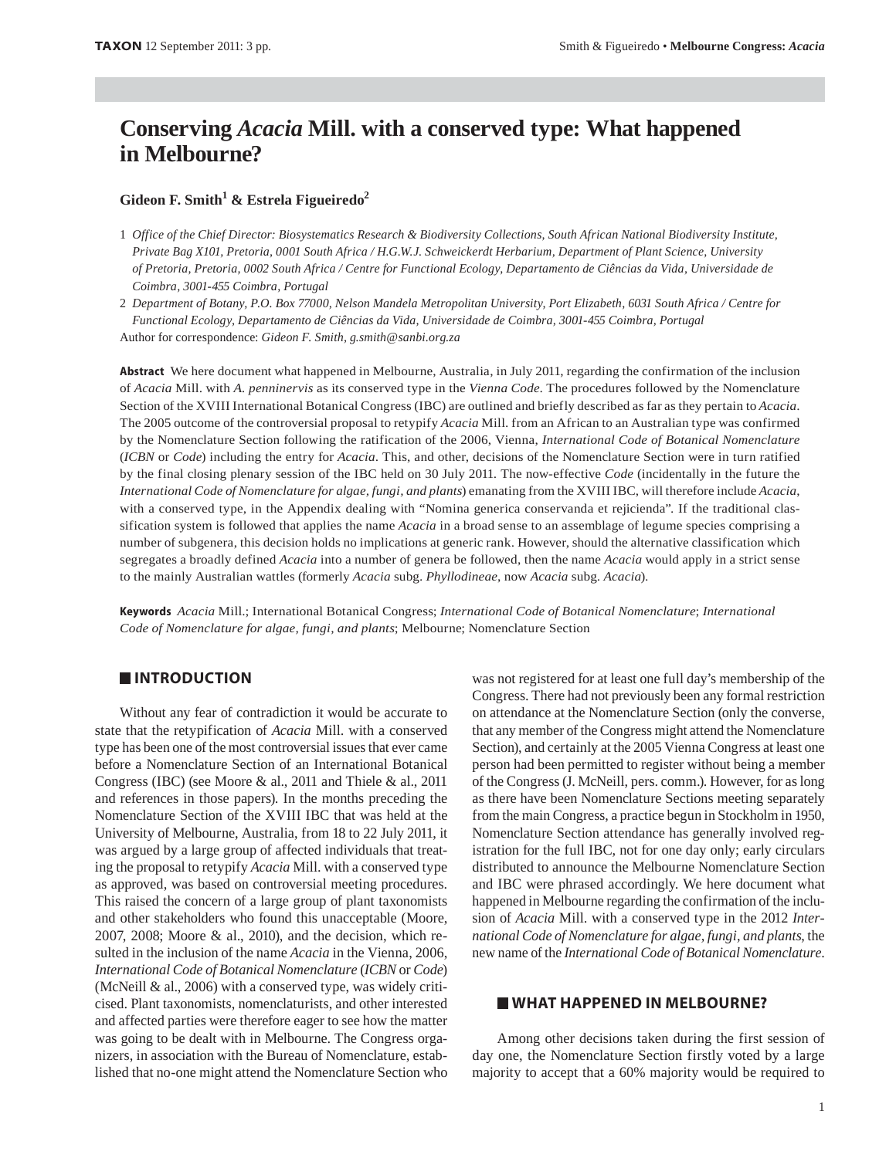# **Conserving** *Acacia* **Mill. with a conserved type: What happened in Melbourne?**

# **Gideon F. Smith1 & Estrela Figueiredo2**

1 *Office of the Chief Director: Biosystematics Research & Biodiversity Collections, South African National Biodiversity Institute, Private Bag X101, Pretoria, 0001 South Africa / H.G.W.J. Schweickerdt Herbarium, Department of Plant Science, University of Pretoria, Pretoria, 0002 South Africa / Centre for Functional Ecology, Departamento de Ciências da Vida, Universidade de Coimbra, 3001-455 Coimbra, Portugal*

2 *Department of Botany, P.O. Box 77000, Nelson Mandela Metropolitan University, Port Elizabeth, 6031 South Africa / Centre for Functional Ecology, Departamento de Ciências da Vida, Universidade de Coimbra, 3001-455 Coimbra, Portugal* Author for correspondence: *Gideon F. Smith, g.smith@sanbi.org.za*

**Abstract** We here document what happened in Melbourne, Australia, in July 2011, regarding the confirmation of the inclusion of *Acacia* Mill. with *A. penninervis* as its conserved type in the *Vienna Code*. The procedures followed by the Nomenclature Section of the XVIII International Botanical Congress (IBC) are outlined and briefly described as far as they pertain to *Acacia*. The 2005 outcome of the controversial proposal to retypify *Acacia* Mill. from an African to an Australian type was confirmed by the Nomenclature Section following the ratification of the 2006, Vienna, *International Code of Botanical Nomenclature* (*ICBN* or *Code*) including the entry for *Acacia*. This, and other, decisions of the Nomenclature Section were in turn ratified by the final closing plenary session of the IBC held on 30 July 2011. The now-effective *Code* (incidentally in the future the *International Code of Nomenclature for algae, fungi, and plants*) emanating from the XVIII IBC, will therefore include *Acacia*, with a conserved type, in the Appendix dealing with "Nomina generica conservanda et rejicienda". If the traditional classification system is followed that applies the name *Acacia* in a broad sense to an assemblage of legume species comprising a number of subgenera, this decision holds no implications at generic rank. However, should the alternative classification which segregates a broadly defined *Acacia* into a number of genera be followed, then the name *Acacia* would apply in a strict sense to the mainly Australian wattles (formerly *Acacia* subg. *Phyllodineae*, now *Acacia* subg. *Acacia*).

**Keywords** *Acacia* Mill.; International Botanical Congress; *International Code of Botanical Nomenclature*; *International Code of Nomenclature for algae, fungi, and plants*; Melbourne; Nomenclature Section

## **INTRODUCTION**

Without any fear of contradiction it would be accurate to state that the retypification of *Acacia* Mill. with a conserved type has been one of the most controversial issues that ever came before a Nomenclature Section of an International Botanical Congress (IBC) (see Moore & al., 2011 and Thiele & al., 2011 and references in those papers). In the months preceding the Nomenclature Section of the XVIII IBC that was held at the University of Melbourne, Australia, from 18 to 22 July 2011, it was argued by a large group of affected individuals that treating the proposal to retypify *Acacia* Mill. with a conserved type as approved, was based on controversial meeting procedures. This raised the concern of a large group of plant taxonomists and other stakeholders who found this unacceptable (Moore, 2007, 2008; Moore & al., 2010), and the decision, which resulted in the inclusion of the name *Acacia* in the Vienna, 2006, *International Code of Botanical Nomenclature* (*ICBN* or *Code*) (McNeill & al., 2006) with a conserved type, was widely criticised. Plant taxonomists, nomenclaturists, and other interested and affected parties were therefore eager to see how the matter was going to be dealt with in Melbourne. The Congress organizers, in association with the Bureau of Nomenclature, established that no-one might attend the Nomenclature Section who

was not registered for at least one full day's membership of the Congress. There had not previously been any formal restriction on attendance at the Nomenclature Section (only the converse, that any member of the Congress might attend the Nomenclature Section), and certainly at the 2005 Vienna Congress at least one person had been permitted to register without being a member of the Congress (J. McNeill, pers. comm.). However, for as long as there have been Nomenclature Sections meeting separately from the main Congress, a practice begun in Stockholm in 1950, Nomenclature Section attendance has generally involved registration for the full IBC, not for one day only; early circulars distributed to announce the Melbourne Nomenclature Section and IBC were phrased accordingly. We here document what happened in Melbourne regarding the confirmation of the inclusion of *Acacia* Mill. with a conserved type in the 2012 *International Code of Nomenclature for algae, fungi, and plants*, the new name of the *International Code of Botanical Nomenclature*.

#### **WHAT HAPPENED IN MELBOURNE?**

Among other decisions taken during the first session of day one, the Nomenclature Section firstly voted by a large majority to accept that a 60% majority would be required to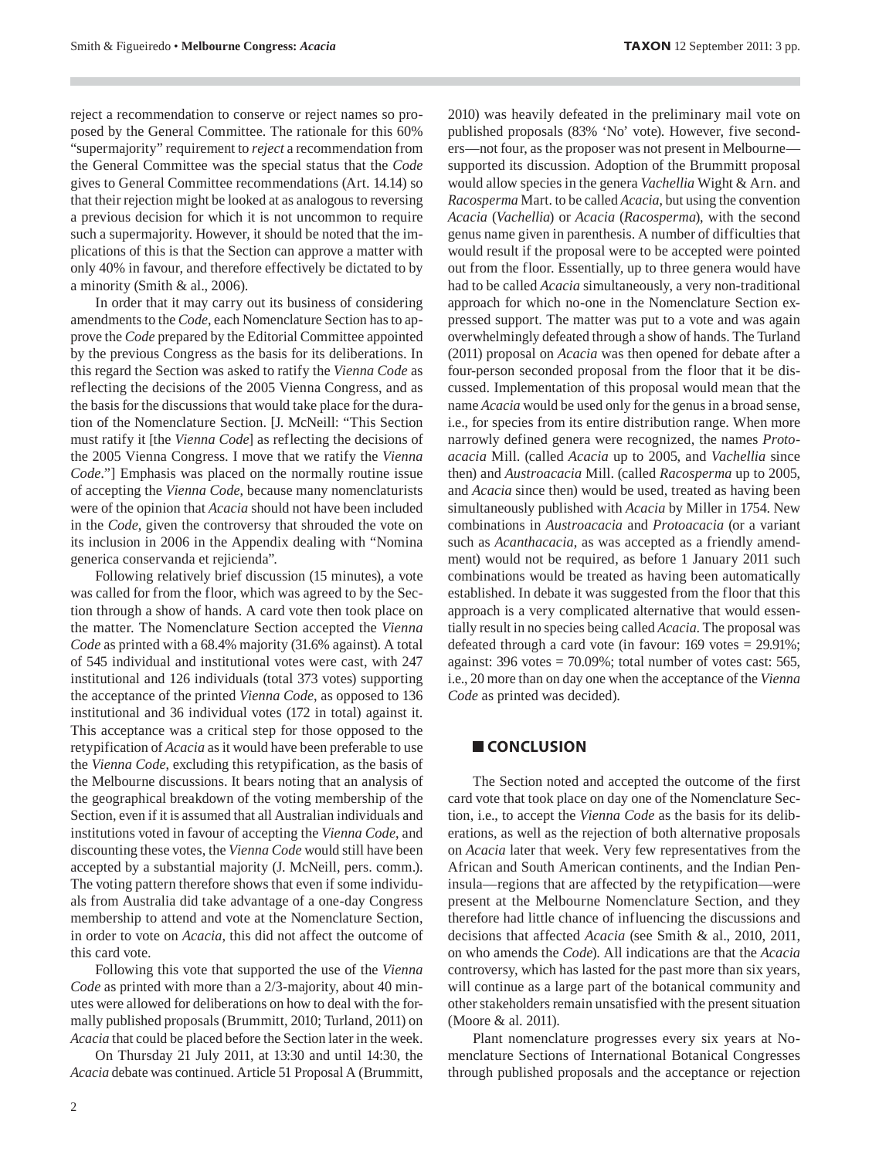reject a recommendation to conserve or reject names so proposed by the General Committee. The rationale for this 60% "supermajority" requirement to *reject* a recommendation from the General Committee was the special status that the *Code* gives to General Committee recommendations (Art. 14.14) so that their rejection might be looked at as analogous to reversing a previous decision for which it is not uncommon to require such a supermajority. However, it should be noted that the implications of this is that the Section can approve a matter with only 40% in favour, and therefore effectively be dictated to by a minority (Smith & al., 2006).

In order that it may carry out its business of considering amendments to the *Code*, each Nomenclature Section has to approve the *Code* prepared by the Editorial Committee appointed by the previous Congress as the basis for its deliberations. In this regard the Section was asked to ratify the *Vienna Code* as reflecting the decisions of the 2005 Vienna Congress, and as the basis for the discussions that would take place for the duration of the Nomenclature Section. [J. McNeill: "This Section must ratify it [the *Vienna Code*] as reflecting the decisions of the 2005 Vienna Congress. I move that we ratify the *Vienna Code.*"] Emphasis was placed on the normally routine issue of accepting the *Vienna Code*, because many nomenclaturists were of the opinion that *Acacia* should not have been included in the *Code*, given the controversy that shrouded the vote on its inclusion in 2006 in the Appendix dealing with "Nomina generica conservanda et rejicienda".

Following relatively brief discussion (15 minutes), a vote was called for from the floor, which was agreed to by the Section through a show of hands. A card vote then took place on the matter. The Nomenclature Section accepted the *Vienna Code* as printed with a 68.4% majority (31.6% against). A total of 545 individual and institutional votes were cast, with 247 institutional and 126 individuals (total 373 votes) supporting the acceptance of the printed *Vienna Code*, as opposed to 136 institutional and 36 individual votes (172 in total) against it. This acceptance was a critical step for those opposed to the retypification of *Acacia* as it would have been preferable to use the *Vienna Code*, excluding this retypification, as the basis of the Melbourne discussions. It bears noting that an analysis of the geographical breakdown of the voting membership of the Section, even if it is assumed that all Australian individuals and institutions voted in favour of accepting the *Vienna Code*, and discounting these votes, the *Vienna Code* would still have been accepted by a substantial majority (J. McNeill, pers. comm.). The voting pattern therefore shows that even if some individuals from Australia did take advantage of a one-day Congress membership to attend and vote at the Nomenclature Section, in order to vote on *Acacia*, this did not affect the outcome of this card vote.

Following this vote that supported the use of the *Vienna Code* as printed with more than a 2/3-majority, about 40 minutes were allowed for deliberations on how to deal with the formally published proposals (Brummitt, 2010; Turland, 2011) on *Acacia* that could be placed before the Section later in the week.

On Thursday 21 July 2011, at 13:30 and until 14:30, the *Acacia* debate was continued. Article 51 Proposal A (Brummitt,

published proposals (83% 'No' vote). However, five seconders—not four, as the proposer was not present in Melbourne supported its discussion. Adoption of the Brummitt proposal would allow species in the genera *Vachellia* Wight & Arn. and *Racosperma* Mart. to be called *Acacia*, but using the convention *Acacia* (*Vachellia*) or *Acacia* (*Racosperma*), with the second genus name given in parenthesis. A number of difficulties that would result if the proposal were to be accepted were pointed out from the floor. Essentially, up to three genera would have had to be called *Acacia* simultaneously, a very non-traditional approach for which no-one in the Nomenclature Section expressed support. The matter was put to a vote and was again overwhelmingly defeated through a show of hands. The Turland (2011) proposal on *Acacia* was then opened for debate after a four-person seconded proposal from the floor that it be discussed. Implementation of this proposal would mean that the name *Acacia* would be used only for the genus in a broad sense, i.e., for species from its entire distribution range. When more narrowly defined genera were recognized, the names *Protoacacia* Mill. (called *Acacia* up to 2005, and *Vachellia* since then) and *Austroacacia* Mill. (called *Racosperma* up to 2005, and *Acacia* since then) would be used, treated as having been simultaneously published with *Acacia* by Miller in 1754. New combinations in *Austroacacia* and *Protoacacia* (or a variant such as *Acanthacacia*, as was accepted as a friendly amendment) would not be required, as before 1 January 2011 such combinations would be treated as having been automatically established. In debate it was suggested from the floor that this approach is a very complicated alternative that would essentially result in no species being called *Acacia*. The proposal was defeated through a card vote (in favour: 169 votes = 29.91%; against: 396 votes  $= 70.09\%$ ; total number of votes cast: 565, i.e., 20 more than on day one when the acceptance of the *Vienna Code* as printed was decided).

2010) was heavily defeated in the preliminary mail vote on

#### **CONCLUSION**

The Section noted and accepted the outcome of the first card vote that took place on day one of the Nomenclature Section, i.e., to accept the *Vienna Code* as the basis for its deliberations, as well as the rejection of both alternative proposals on *Acacia* later that week. Very few representatives from the African and South American continents, and the Indian Peninsula—regions that are affected by the retypification—were present at the Melbourne Nomenclature Section, and they therefore had little chance of influencing the discussions and decisions that affected *Acacia* (see Smith & al., 2010, 2011, on who amends the *Code*). All indications are that the *Acacia* controversy, which has lasted for the past more than six years, will continue as a large part of the botanical community and other stakeholders remain unsatisfied with the present situation (Moore & al. 2011).

Plant nomenclature progresses every six years at Nomenclature Sections of International Botanical Congresses through published proposals and the acceptance or rejection